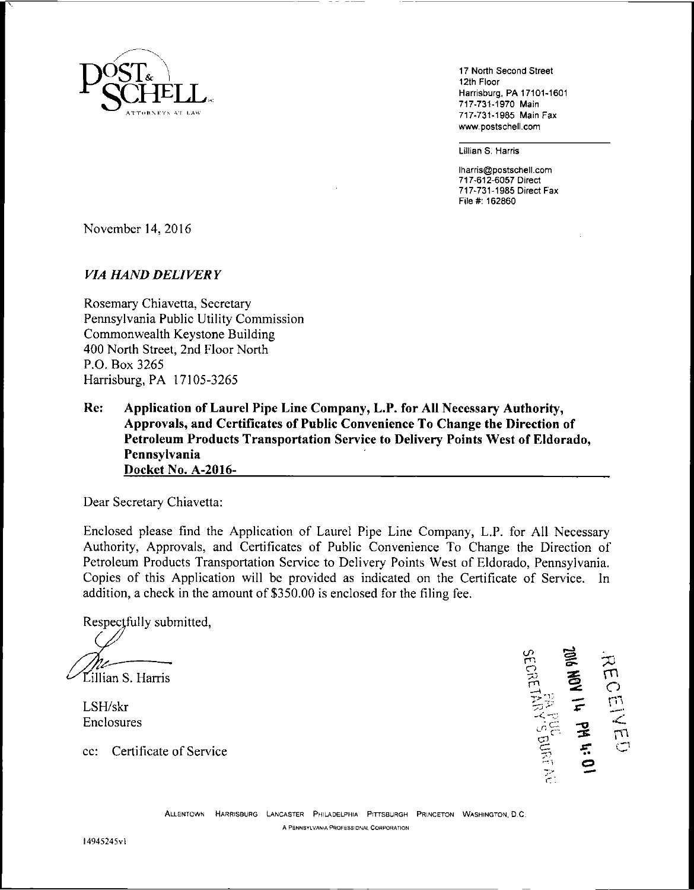

17 North Second Street 12th Floor Harrisburg, PA 17101-1601 717-731-1970 Main 717-731-1985 Main Fax www.postschell.com

Lillian S. Harris

lharris@postschell.com 717-612-6057 Direct 717-731-1985 Direct Fax File#: 162860

November 14, 2016

#### *VIA HAND DELIVERY*

Rosemary Chiavetta, Secretary Pennsylvania Public Utility Commission Commonwealth Keystone Building 400 North Street, 2nd Floor North P.O. Box 3265 Harrisburg, PA 17105-3265

**Re: Application of Laurel Pipe Line Company, L.P. for All Necessary Authority, Approvals, and Certificates of Public Convenience To Change the Direction of Petroleum Products Transportation Service to Delivery Points West of Eldorado, Pennsylvania Docket No. A-2016-\_\_\_\_\_\_\_**

Dear Secretary Chiavetta:

Enclosed please Find the Application of Laurel Pipe Line Company, L.P. for All Necessary Authority, Approvals, and Certificates of Public Convenience To Change the Direction of Petroleum Products Transportation Service to Delivery Points West of Eldorado, Pennsylvania. Copies of this Application will be provided as indicated on the Certificate of Service. In addition, a check in the amount of \$350.00 is enclosed for the filing fee.

Respectfully submitted,

illian S. Harris

LSH/skr Enclosures

cc: Certificate of Service

 $\bm{\varpi}$ m<br>C rn o ë *r.:*

Allentown Harrisburg <sup>L</sup>ancaster Philadelphia Pittsburgh Princeton Washington, D.C. A PENNSYLVANIA PROFESSIONAL CORPORATION

I4945245vl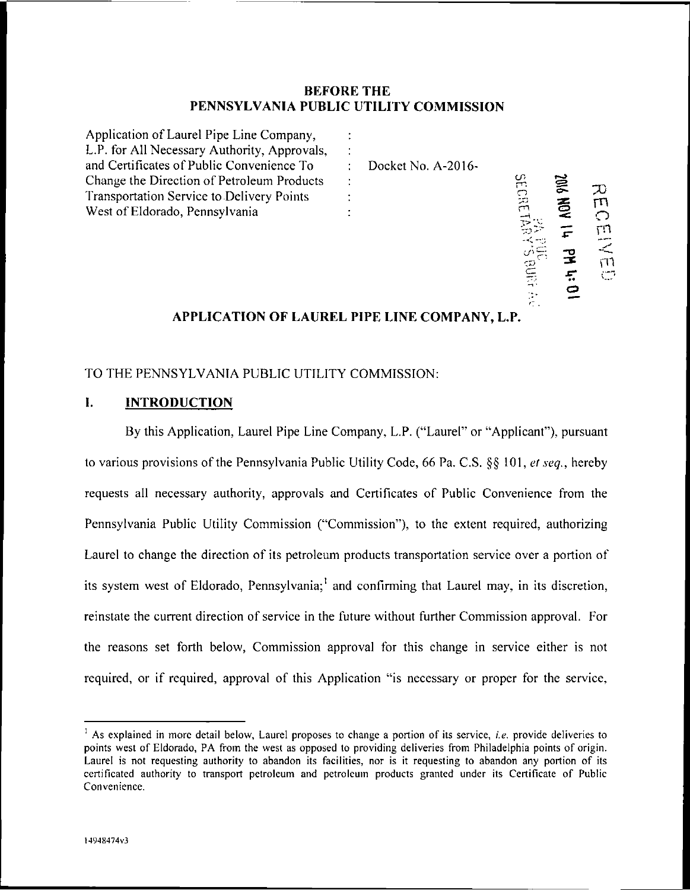# **BEFORE THE PENNSYLVANIA PUBLIC UTILITY COMMISSION**

| Application of Laurel Pipe Line Company,     |                    |                |            |        |
|----------------------------------------------|--------------------|----------------|------------|--------|
| L.P. for All Necessary Authority, Approvals, |                    |                |            |        |
| and Certificates of Public Convenience To    | Docket No. A-2016- |                |            |        |
| Change the Direction of Petroleum Products   |                    | ξŕ             | <b>SIG</b> |        |
| Transportation Service to Delivery Points    |                    | $\frac{1}{10}$ |            |        |
| West of Eldorado, Pennsylvania               |                    |                | 乽          |        |
|                                              |                    |                |            | חיז    |
|                                              |                    |                |            | $\leq$ |
|                                              |                    |                |            | רדז    |
|                                              |                    | <b>BUR</b>     |            | Ċ.     |
|                                              |                    |                |            |        |

# **APPLICATION OF LAUREL PIPE LINE COMPANY, L.P.**

•

 $\subseteq$ 

# TO THE PENNSYLVANIA PUBLIC UTILITY COMMISSION:

# **I. INTRODUCTION**

By this Application, Laurel Pipe Line Company, L.P. ("Laurel" or "Applicant"), pursuant to various provisions ofthe Pennsylvania Public Utility Code, 66 Pa. C.S. §§ 101, *el seq.,* hereby requests all necessary authority, approvals and Certificates of Public Convenience from the Pennsylvania Public Utility Commission ("Commission"), to the extent required, authorizing Laurel to change the direction of its petroleum products transportation service over a portion of its system west of Eldorado, Pennsylvania;<sup>1</sup> and confirming that Laurel may, in its discretion, reinstate the current direction of service in the future without further Commission approval. For the reasons set forth below, Commission approval for this change in service either is not required, or if required, approval of this Application "is necessary or proper for the service,

<sup>&</sup>lt;sup>1</sup> As explained in more detail below, Laurel proposes to change a portion of its service, *i.e.* provide deliveries to points west of Eldorado, PA from the west as opposed to providing deliveries from Philadelphia points of origin. Laurel is not requesting authority to abandon its facilities, nor is it requesting to abandon any portion of its certificated authority to transport petroleum and petroleum products granted under its Certificate of Public Convenience.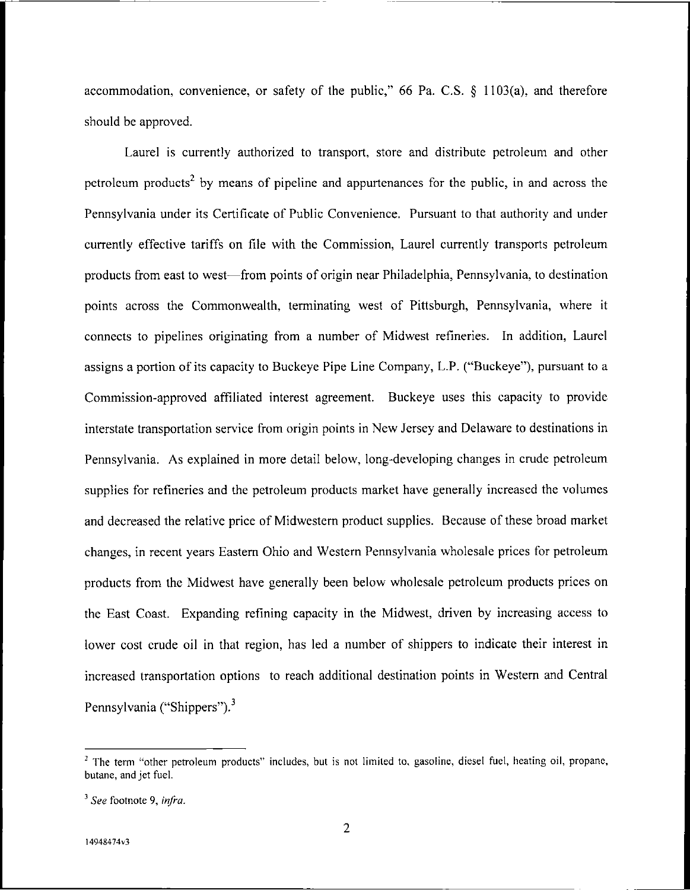accommodation, convenience, or safety of the public," 66 Pa. C.S. § 1103(a), and therefore should be approved.

Laurel is currently authorized to transport, store and distribute petroleum and other petroleum products<sup>2</sup> by means of pipeline and appurtenances for the public, in and across the Pennsylvania under its Certificate of Public Convenience. Pursuant to that authority and under currently effective tariffs on file with the Commission, Laurel currently transports petroleum products from east to west—from points of origin near Philadelphia, Pennsylvania, to destination points across the Commonwealth, terminating west of Pittsburgh, Pennsylvania, where it connects to pipelines originating from a number of Midwest refineries. In addition, Laurel assigns a portion of its capacity to Buckeye Pipe Line Company, L.P. ("Buckeye"), pursuant to a Commission-approved affiliated interest agreement. Buckeye uses this capacity to provide interstate transportation service from origin points in New Jersey and Delaware to destinations in Pennsylvania. As explained in more detail below, long-developing changes in crude petroleum supplies for refineries and the petroleum products market have generally increased the volumes and decreased the relative price of Midwestern product supplies. Because of these broad market changes, in recent years Eastern Ohio and Western Pennsylvania wholesale prices for petroleum products from the Midwest have generally been below wholesale petroleum products prices on the East Coast. Expanding refining capacity in the Midwest, driven by increasing access to lower cost crude oil in that region, has led a number of shippers to indicate their interest in increased transportation options to reach additional destination points in Western and Central Pennsylvania ("Shippers").<sup>3</sup>

<sup>&</sup>lt;sup>2</sup> The term "other petroleum products" includes, but is not limited to, gasoline, diesel fuel, heating oil, propane, butane, and jet fuel.

<sup>3</sup> *See* footnote 9, *infra.*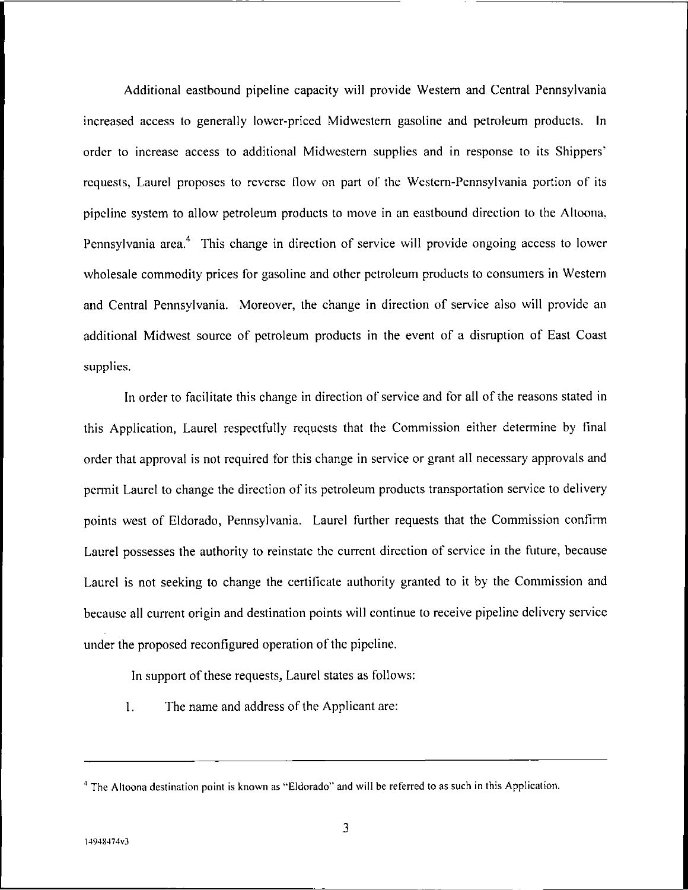Additional eastbound pipeline capacity will provide Western and Central Pennsylvania increased access to generally lower-priced Midwestern gasoline and petroleum products. In order to increase access to additional Midwestern supplies and in response to its Shippers' requests, Laurel proposes to reverse flow on part of the Westem-Pennsylvania portion of its pipeline system to allow petroleum products to move in an eastbound direction to the Altoona, Pennsylvania area.<sup>4</sup> This change in direction of service will provide ongoing access to lower wholesale commodity prices for gasoline and other petroleum products to consumers in Western and Central Pennsylvania. Moreover, the change in direction of service also will provide an additional Midwest source of petroleum products in the event of a disruption of East Coast supplies.

In order to facilitate this change in direction of service and for all of the reasons stated in this Application, Laurel respectfully requests that the Commission either determine by final order that approval is not required for this change in service or grant all necessary approvals and permit Laurel to change the direction of its petroleum products transportation service to delivery points west of Eldorado, Pennsylvania. Laurel further requests that the Commission confirm Laurel possesses the authority to reinstate the current direction of service in the future, because Laurel is not seeking to change the certificate authority granted to it by the Commission and because all current origin and destination points will continue to receive pipeline delivery service under the proposed reconfigured operation of the pipeline.

In support of these requests, Laurel states as follows:

1. The name and address of the Applicant are:

<sup>&</sup>lt;sup>4</sup> The Altoona destination point is known as "Eldorado" and will be referred to as such in this Application.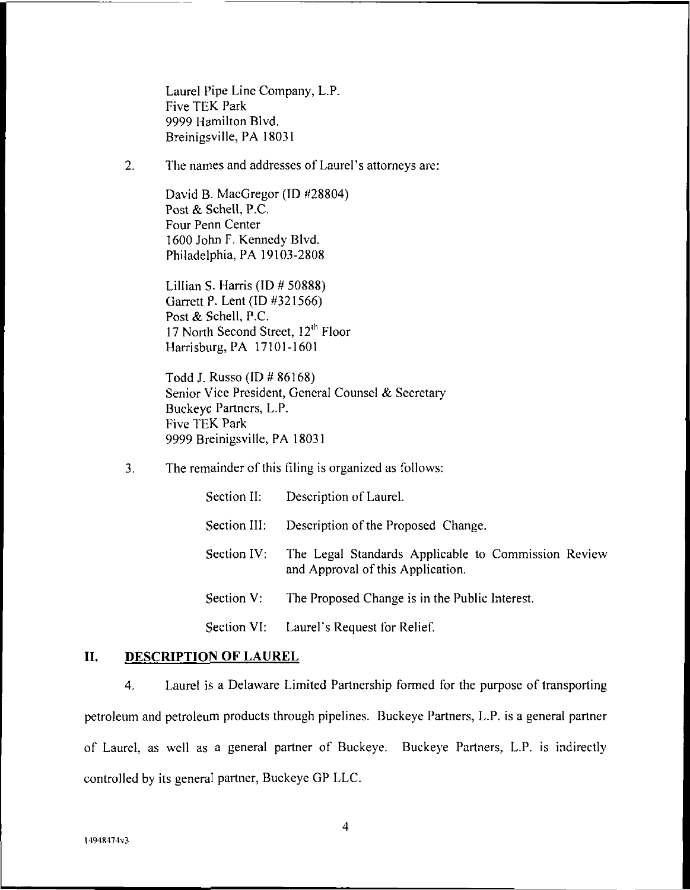Laurel Pipe Line Company, L.P. Five TEK Park 9999 Hamilton Blvd. Breinigsville, PA 18031

2. The names and addresses of Laurel's attorneys are:

David B. MacGregor (ID #28804) Post & Schell, P.C. Four Penn Center 1600 John F. Kennedy Blvd. Philadelphia, PA 19103-2808

Lillian S. Harris (ID # 50888) Garrett P. Lent (ID #321566) Post & Schell, P.C. 17 North Second Street, 12<sup>th</sup> Floor Harrisburg, PA 17101-1601

Todd J. Russo (ID # 86168) Senior Vice President, General Counsel & Secretary Buckeye Partners, L.P. Five TEK Park 9999 Breinigsville, PA 18031

3. The remainder of this filing is organized as follows:

|              | Section II: Description of Laurel.                                                                   |
|--------------|------------------------------------------------------------------------------------------------------|
| Section III: | Description of the Proposed Change.                                                                  |
|              | Section IV: The Legal Standards Applicable to Commission Review<br>and Approval of this Application. |
| Section V:   | The Proposed Change is in the Public Interest.                                                       |
|              | Section VI: Laurel's Request for Relief.                                                             |

# **II. DESCRIPTION OF LAUREL**

4. Laurel is a Delaware Limited Partnership formed for the purpose of transporting petroleum and petroleum products through pipelines. Buckeye Partners, L.P. is a general partner of Laurel, as well as a general partner of Buckeye. Buckeye Partners, L.P. is indirectly controlled by its general partner, Buckeye GP LLC.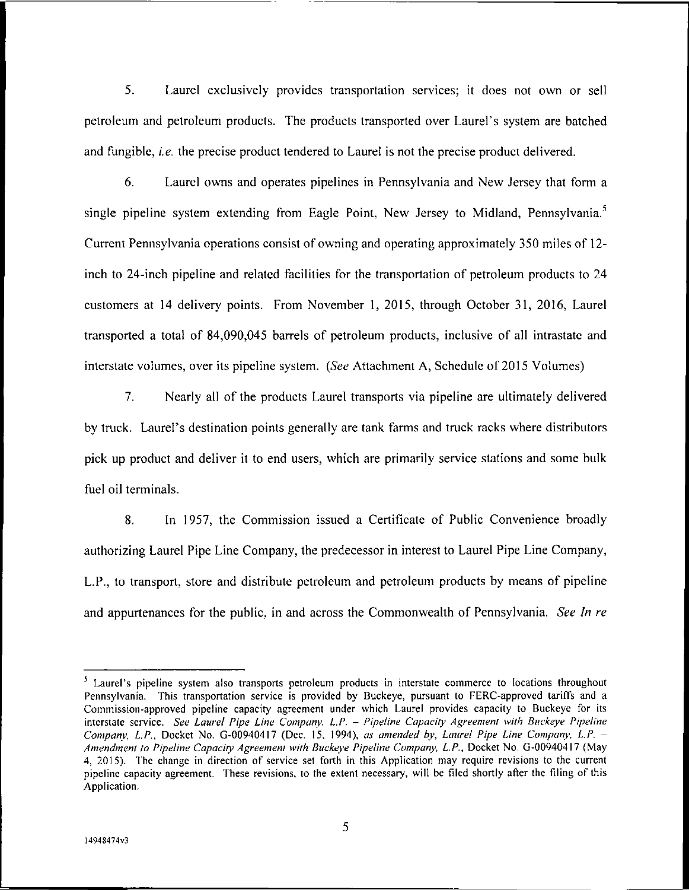5. Laurel exclusively provides transportation services; it does not own or sell petroleum and petroleum products. The products transported over Laurel's system are batched and fungible, *i.e.* the precise product tendered to Laurel is not the precise product delivered.

6. Laurel owns and operates pipelines in Pennsylvania and New Jersey that form a single pipeline system extending from Eagle Point, New Jersey to Midland, Pennsylvania.<sup>5</sup> Current Pennsylvania operations consist of owning and operating approximately 350 miles of 12 inch to 24-inch pipeline and related facilities for the transportation of petroleum products to 24 customers at 14 delivery points. From November 1, 2015, through October 31, 2016, Laurel transported a total of 84,090,045 barrels of petroleum products, inclusive of all intrastate and interstate volumes, over its pipeline system. *{See* Attachment A, Schedule of 2015 Volumes)

7. Nearly all of the products Laurel transports via pipeline are ultimately delivered by truck. Laurel's destination points generally are tank farms and truck racks where distributors pick up product and deliver it to end users, which are primarily service stations and some bulk fuel oil terminals.

8. In 1957, the Commission issued a Certificate of Public Convenience broadly authorizing Laurel Pipe Line Company, the predecessor in interest to Laurel Pipe Line Company, L.P., to transport, store and distribute petroleum and petroleum products by means of pipeline and appurtenances for the public, in and across the Commonwealth of Pennsylvania. *See In re*

<sup>&</sup>lt;sup>5</sup> Laurel's pipeline system also transports petroleum products in interstate commerce to locations throughout Pennsylvania. This transportation service is provided by Buckeye, pursuant to FERC-approved tariffs and a Commission-approved pipeline capacity agreement under which Laurel provides capacity to Buckeye for its interstate service. *See Laurel Pipe Line Company, L.P. - Pipeline Capacity Agreement with Buckeye Pipeline Company, L.P.,* Docket No. G-00940417 (Dec. 15, 1994), *as amended by, Laurel Pipe Line Company, L.P. - Amendment to Pipeline Capacity Agreement with Buckeye Pipeline Company, L.P.,* Docket No. G-00940417 (May 4, 2015). The change in direction of service set forth in this Application may require revisions to the current pipeline capacity agreement. These revisions, to the extent necessary, will be filed shortly after the filing of this Application.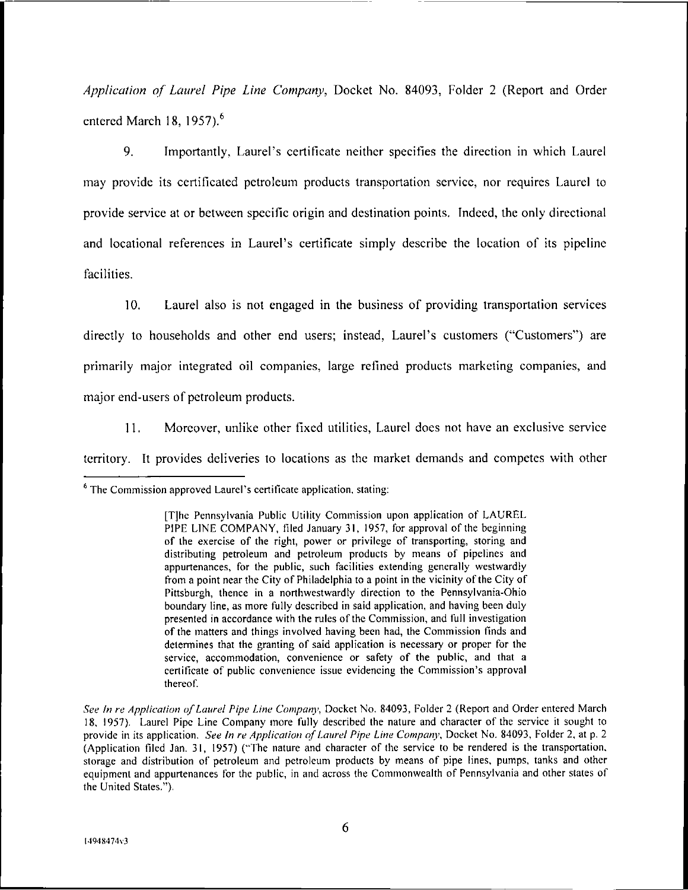*Application of Laurel Pipe Line Company,* Docket No. 84093, Folder <sup>2</sup> (Report and Order entered March 18, 1957).<sup>6</sup>

9. Importantly, Laurel's certificate neither specifies the direction in which Laurel may provide its certificated petroleum products transportation service, nor requires Laurel to provide service at or between specific origin and destination points. Indeed, the only directional and locational references in Laurel's certificate simply describe the location of its pipeline facilities.

10. Laurel also is not engaged in the business of providing transportation services directly to households and other end users; instead, Laurel's customers ("Customers") are primarily major integrated oil companies, large refined products marketing companies, and major end-users of petroleum products.

11. Moreover, unlike other fixed utilities, Laurel does not have an exclusive service territory. It provides deliveries to locations as the market demands and competes with other

<sup>&</sup>lt;sup>6</sup> The Commission approved Laurel's certificate application, stating:

<sup>[</sup>T]he Pennsylvania Public Utility Commission upon application of LAUREL PIPE LINE COMPANY, filed January 31, 1957, for approval of the beginning of the exercise of the right, power or privilege of transporting, storing and distributing petroleum and petroleum products by means of pipelines and appurtenances, for the public, such facilities extending generally westwardly from a point near the City of Philadelphia to a point in the vicinity of the City of Pittsburgh, thence in a northwestwardly direction to the Pennsylvania-Ohio boundary line, as more fully described in said application, and having been duly presented in accordance with the rules of the Commission, and full investigation of the matters and things involved having been had, the Commission finds and determines that the granting of said application is necessary or proper for the service, accommodation, convenience or safety of the public, and that a certificate of public convenience issue evidencing the Commission's approval thereof.

*See In re Application ofLaurel Pipe Line Company,* Docket No. 84093, Folder <sup>2</sup> (Report and Order entered March 18, 1957). Laurel Pipe Line Company more fully described the nature and character of the service it sought to provide in its application. *See In re Application ofLaurel Pipe Line Company,* Docket No. 84093, Folder 2, at p. <sup>2</sup> (Application filed Jan. 31, 1957) ("The nature and character of the service to be rendered is the transportation, storage and distribution of petroleum and petroleum products by means of pipe lines, pumps, tanks and other equipment and appurtenances for the public, in and across the Commonwealth of Pennsylvania and other states of the United States.").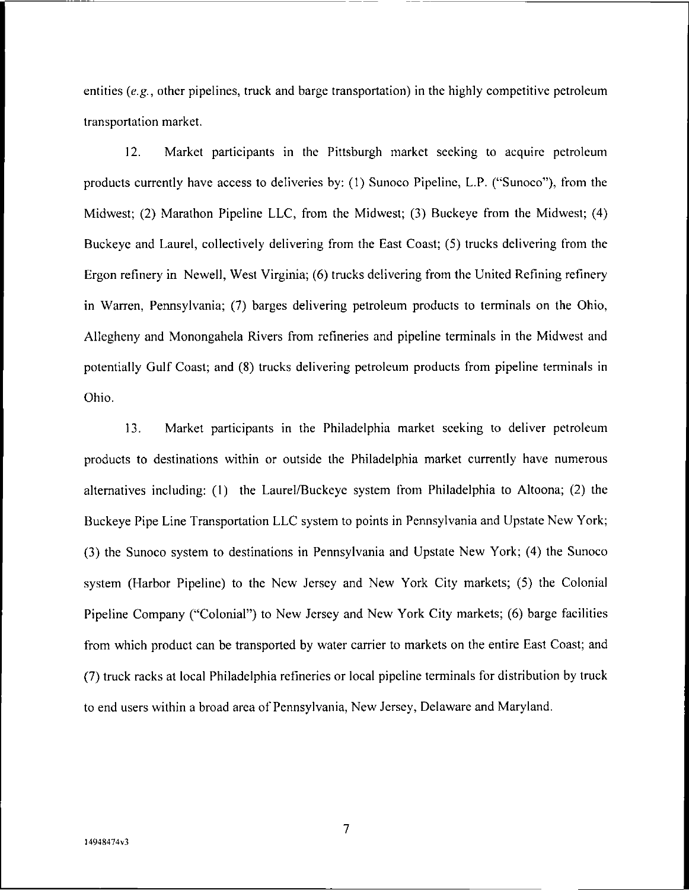entities *(e.g.,* other pipelines, truck and barge transportation) in the highly competitive petroleum transportation market.

12. Market participants in the Pittsburgh market seeking to acquire petroleum products currently have access to deliveries by: (1) Sunoco Pipeline, L.P. ("Sunoco"), from the Midwest; (2) Marathon Pipeline LLC, from the Midwest; (3) Buckeye from the Midwest; (4) Buckeye and Laurel, collectively delivering from the East Coast; (5) trucks delivering from the Ergon refinery in Newell, West Virginia; (6) trucks delivering from the United Refining refinery in Warren, Pennsylvania; (7) barges delivering petroleum products to terminals on the Ohio, Allegheny and Monongahela Rivers from refineries and pipeline terminals in the Midwest and potentially Gulf Coast; and (8) trucks delivering petroleum products from pipeline terminals in Ohio.

13. Market participants in the Philadelphia market seeking to deliver petroleum products to destinations within or outside the Philadelphia market currently have numerous alternatives including: (1) the Laurel/Buckeye system from Philadelphia to Altoona; (2) the Buckeye Pipe Line Transportation LLC system to points in Pennsylvania and Upstate New York; (3) the Sunoco system to destinations in Pennsylvania and Upstate New York; (4) the Sunoco system (Harbor Pipeline) to the New Jersey and New York City markets; (5) the Colonial Pipeline Company ("Colonial") to New Jersey and New York City markets; (6) barge facilities from which product can be transported by water carrier to markets on the entire East Coast; and (7) truck racks at local Philadelphia refineries or local pipeline terminals for distribution by truck to end users within a broad area of Pennsylvania, New Jersey, Delaware and Maryland.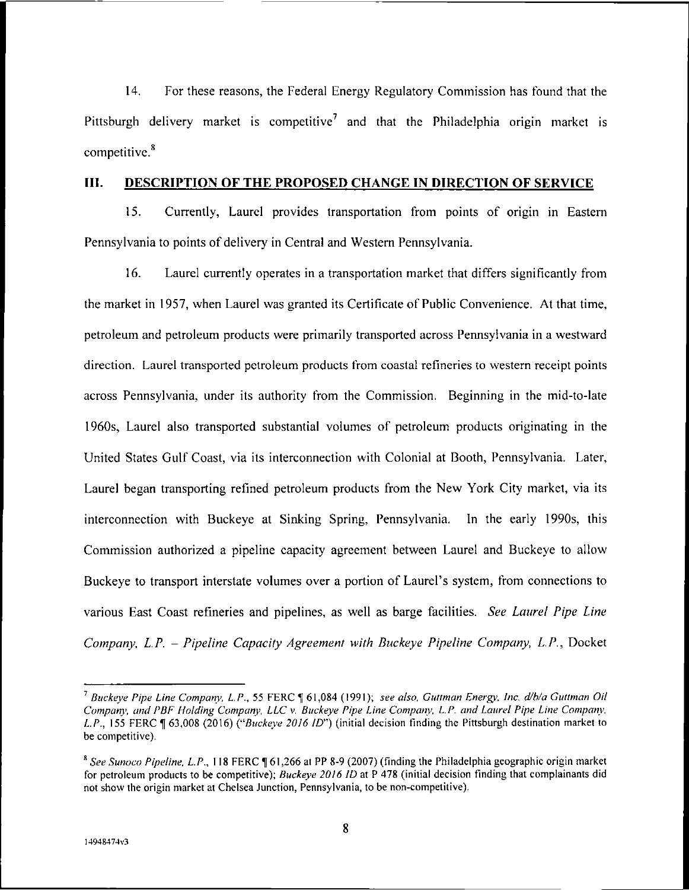14. For these reasons, the Federal Energy Regulatory Commission has found that the Pittsburgh delivery market is competitive<sup>7</sup> and that the Philadelphia origin market is competitive.<sup>8</sup>

#### **HI. DESCRIPTION OF THE PROPOSED CHANGE IN DIRECTION OF SERVICE**

15. Currently, Laurel provides transportation from points of origin in Eastern Pennsylvania to points of delivery in Central and Western Pennsylvania.

16. Laurel currently operates in a transportation market that differs significantly from the market in 1957, when Laurel was granted its Certificate of Public Convenience. At that time, petroleum and petroleum products were primarily transported across Pennsylvania in a westward direction. Laurel transported petroleum products from coastal refineries to western receipt points across Pennsylvania, under its authority from the Commission. Beginning in the mid-to-late 1960s, Laurel also transported substantial volumes of petroleum products originating in the United States Gulf Coast, via its interconnection with Colonial at Booth, Pennsylvania. Later, Laurel began transporting refined petroleum products from the New York City market, via its interconnection with Buckeye at Sinking Spring, Pennsylvania. In the early 1990s, this Commission authorized a pipeline capacity agreement between Laurel and Buckeye to allow Buckeye to transport interstate volumes over a portion of Laurel's system, from connections to various East Coast refineries and pipelines, as well as barge facilities. *See Laurel Pipe Line Company, L.P. - Pipeline Capacity Agreement with Buckeye Pipeline Company, L.P.,* Docket

<sup>7</sup> *Buckeye Pipe Line Company, L.P.,* 55 FERC <sup>U</sup> 61,084 (1991); *see also, Gunman Energy, Inc. d/b/a Cullman Oil Company, and PBF Holding Company, LLC* v. *Buckeye Pipe Line Company, L.P. and Laurel Pipe Line Company, L.P.,* 155 FERC ^1 63,008 (2016) *("Buckeye 2016 ID")* (initial decision finding the Pittsburgh destination market to be competitive).

*<sup>\*</sup> See Sunoco Pipeline, L.P.,* 118 FERC <sup>H</sup> 61,266 at PP 8-9 (2007) (finding the Philadelphia geographic origin market for petroleum products to be competitive); *Buckeye 2016 ID* at P 478 (initial decision finding that complainants did not show the origin market at Chelsea Junction, Pennsylvania, to be non-competitive).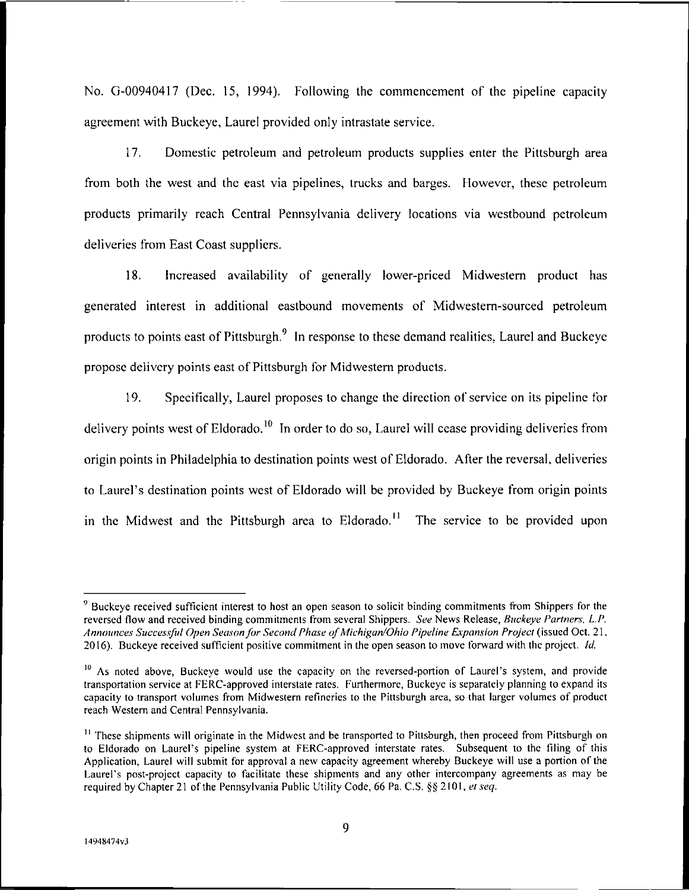No. G-00940417 (Dec. 15, 1994). Following the commencement of the pipeline capacity agreement with Buckeye, Laurel provided only intrastate service.

17. Domestic petroleum and petroleum products supplies enter the Pittsburgh area from both the west and the east via pipelines, trucks and barges. However, these petroleum products primarily reach Central Pennsylvania delivery locations via westbound petroleum deliveries from East Coast suppliers.

18. Increased availability of generally lower-priced Midwestern product has generated interest in additional eastbound movements of Midwestem-sourced petroleum products to points east of Pittsburgh.9 In response to these demand realities, Laurel and Buckeye propose delivery points east of Pittsburgh for Midwestern products.

19. Specifically, Laurel proposes to change the direction of service on its pipeline for delivery points west of Eldorado.<sup>10</sup> In order to do so. Laurel will cease providing deliveries from origin points in Philadelphia to destination points west of Eldorado. After the reversal, deliveries to Laurel's destination points west of Eldorado will be provided by Buckeye from origin points in the Midwest and the Pittsburgh area to Eldorado.<sup>11</sup> The service to be provided upon

<sup>&</sup>lt;sup>9</sup> Buckeve received sufficient interest to host an open season to solicit binding commitments from Shippers for the reversed flow and received binding commitments from several Shippers. *See* News Release, *Buckeye Partners, LP. Announces Successful Open Seasonfor Second Phase ofMichigan/Ohio Pipeline Expansion Project* (issued Oct. 21, 2016). Buckeye received sufficient positive commitment in the open season to move forward with the project. *Id.*

<sup>&</sup>lt;sup>10</sup> As noted above, Buckeye would use the capacity on the reversed-portion of Laurel's system, and provide transportation service at FERC-approved interstate rates. Furthermore, Buckeye is separately planning to expand its capacity to transport volumes from Midwestern refineries to the Pittsburgh area, so that larger volumes of product reach Western and Central Pennsylvania.

<sup>&</sup>lt;sup>11</sup> These shipments will originate in the Midwest and be transported to Pittsburgh, then proceed from Pittsburgh on to Eldorado on Laurel's pipeline system at FERC-approved interstate rates. Subsequent to the filing of this Application, Laurel will submit for approval a new capacity agreement whereby Buckeye will use a portion of the Laurel's post-project capacity to facilitate these shipments and any other intercompany agreements as may be required by Chapter 21 of the Pennsylvania Public Utility Code, 66 Pa. C.S. §§ 2101, *et seq.*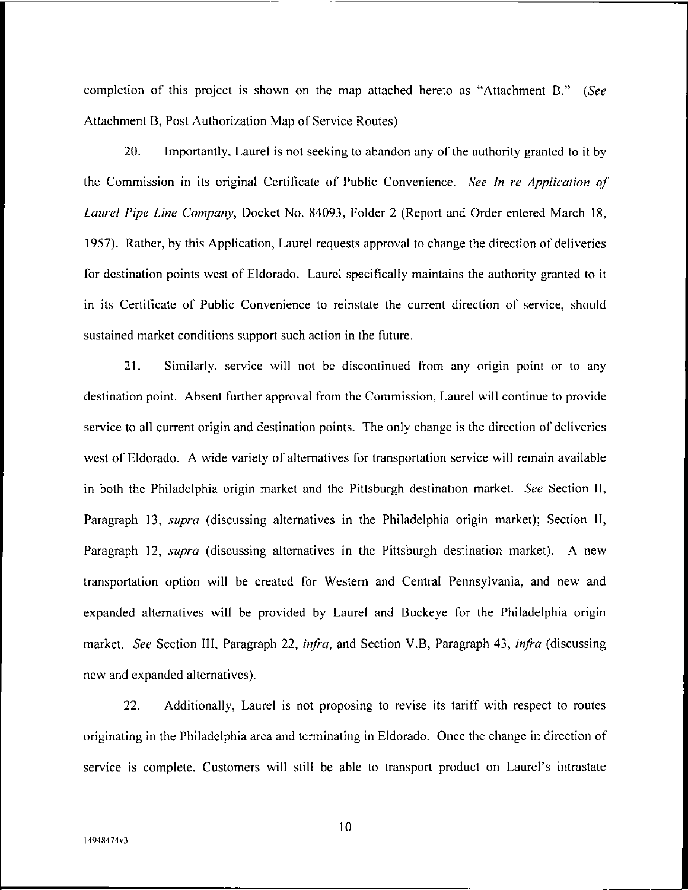completion of this project is shown on the map attached hereto as "Attachment B." *(See* Attachment B, Post Authorization Map of Service Routes)

20. Importantly, Laurel is not seeking to abandon any of the authority granted to it by the Commission in its original Certificate of Public Convenience. *See In re Application of Laurel Pipe Line Company,* Docket No. 84093, Folder 2 (Report and Order entered March 18, 1957). Rather, by this Application, Laurel requests approval to change the direction of deliveries for destination points west of Eldorado. Laurel specifically maintains the authority granted to it in its Certificate of Public Convenience to reinstate the current direction of service, should sustained market conditions support such action in the future.

21. Similarly, service will not be discontinued from any origin point or to any destination point. Absent further approval from the Commission, Laurel will continue to provide service to all current origin and destination points. The only change is the direction of deliveries west of Eldorado. A wide variety of alternatives for transportation service will remain available in both the Philadelphia origin market and the Pittsburgh destination market. *See* Section II, Paragraph 13, *supra* (discussing alternatives in the Philadelphia origin market); Section II, Paragraph 12, *supra* (discussing alternatives in the Pittsburgh destination market). A new transportation option will be created for Western and Central Pennsylvania, and new and expanded alternatives will be provided by Laurel and Buckeye for the Philadelphia origin market. *See* Section III, Paragraph 22, *infra,* and Section V.B, Paragraph 43, *infra* (discussing new and expanded alternatives).

22. Additionally, Laurel is not proposing to revise its tariff with respect to routes originating in the Philadelphia area and terminating in Eldorado. Once the change in direction of service is complete, Customers will still be able to transport product on Laurel's intrastate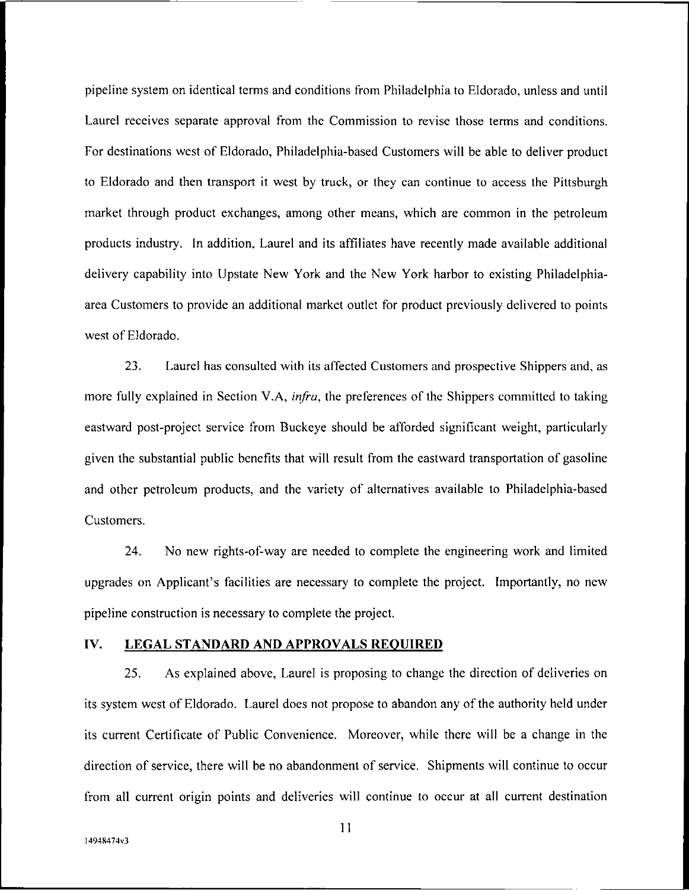pipeline system on identical terms and conditions from Philadelphia to Eldorado, unless and until Laurel receives separate approval from the Commission to revise those terms and conditions. For destinations west of Eldorado, Philadelphia-based Customers will be able to deliver product to Eldorado and then transport it west by truck, or they can continue to access the Pittsburgh market through product exchanges, among other means, which are common in the petroleum products industry. In addition, Laurel and its affiliates have recently made available additional delivery capability into Upstate New York and the New York harbor to existing Philadelphiaarea Customers to provide an additional market outlet for product previously delivered to points west of Eldorado.

23. Laurel has consulted with its affected Customers and prospective Shippers and, as more fully explained in Section V.A, *infra,* the preferences of the Shippers committed to taking eastward post-project service from Buckeye should be afforded significant weight, particularly given the substantial public benefits that will result from the eastward transportation of gasoline and other petroleum products, and the variety of alternatives available to Philadelphia-based Customers.

24. No new rights-of-way are needed to complete the engineering work and limited upgrades on Applicant's facilities are necessary to complete the project. Importantly, no new pipeline construction is necessary to complete the project.

#### **IV. LEGAL STANDARD AND APPROVALS REQUIRED**

25. As explained above, Laurel is proposing to change the direction of deliveries on its system west of Eldorado. Laurel does not propose to abandon any of the authority held under its current Certificate of Public Convenience. Moreover, while there will be a change in the direction of service, there will be no abandonment of service. Shipments will continue to occur from all current origin points and deliveries will continue to occur at all current destination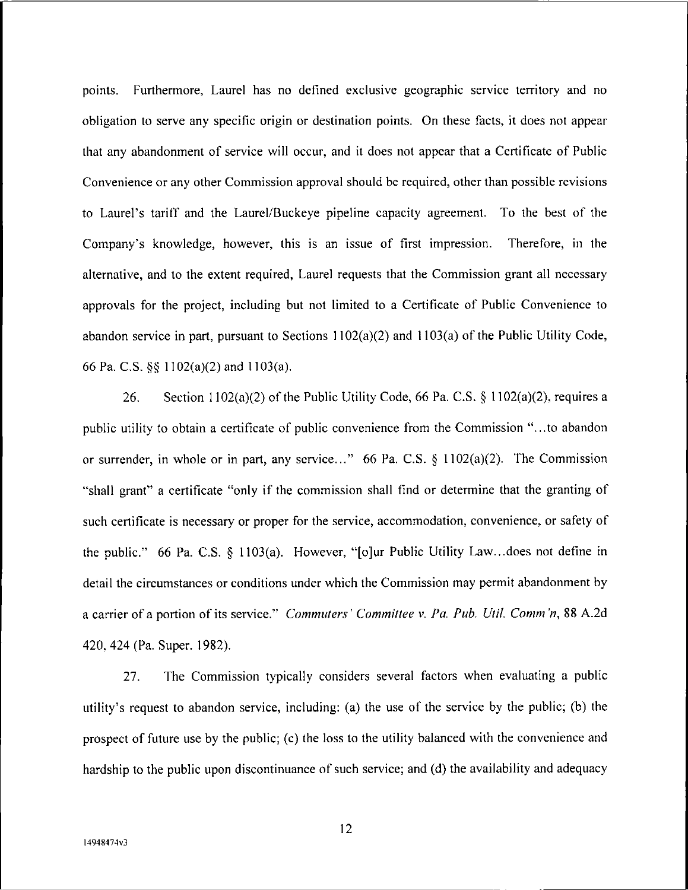points. Furthermore, Laurel has no defined exclusive geographic service territory and no obligation to serve any specific origin or destination points. On these facts, it does not appear that any abandonment of service will occur, and it does not appear that a Certificate of Public Convenience or any other Commission approval should be required, other than possible revisions to Laurel's tariff and the Laurel/Buckeye pipeline capacity agreement. To the best of the Company's knowledge, however, this is an issue of first impression. Therefore, in the alternative, and to the extent required, Laurel requests that the Commission grant all necessary approvals for the project, including but not limited to a Certificate of Public Convenience to abandon service in part, pursuant to Sections  $1102(a)(2)$  and  $1103(a)$  of the Public Utility Code, 66 Pa. C.S. §§ 1102(a)(2) and 1103(a).

26. Section 1102(a)(2) of the Public Utility Code, 66 Pa. C.S. § 1102(a)(2), requires a public utility to obtain a certificate of public convenience from the Commission "...to abandon or surrender, in whole or in part, any service..." 66 Pa. C.S.  $\S$  1102(a)(2). The Commission "shall grant" a certificate "only if the commission shall find or determine that the granting of such certificate is necessary or proper for the service, accommodation, convenience, or safety of the public." 66 Pa. C.S. § 1103(a). However, "[o]ur Public Utility Law...does not define in detail the circumstances or conditions under which the Commission may permit abandonment by a carrier of a portion ofits service." *Commuters* ' *Committee* v. *Pa. Pub. Util. Comm 'n,* 88 A.2d 420, 424 (Pa. Super. 1982).

27. The Commission typically considers several factors when evaluating a public utility's request to abandon service, including: (a) the use of the service by the public; (b) the prospect of future use by the public; (c) the loss to the utility balanced with the convenience and hardship to the public upon discontinuance of such service; and (d) the availability and adequacy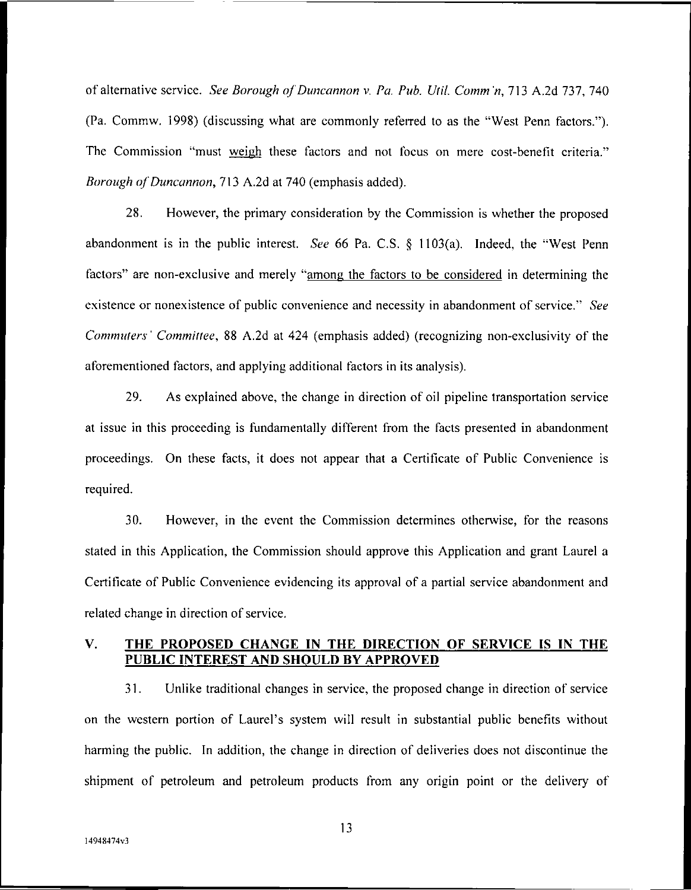of alternative service. *See Borough ofDuncannon* v. *Pa. Pub. Util. Comm'n,* 713 A.2d 737, 740 (Pa. Commw. 1998) (discussing what are commonly referred to as the "West Penn factors.'\*). The Commission "must weigh these factors and not focus on mere cost-benefit criteria." *Borough of Duncannon,* 713 A.2d at 740 (emphasis added).

28. However, the primary consideration by the Commission is whether the proposed abandonment is in the public interest. *See* 66 Pa. C.S. § 1103(a). Indeed, the "West Penn factors" are non-exclusive and merely "among the factors to be considered in determining the existence or nonexistence of public convenience and necessity in abandonment of service." *See Commuters' Committee,* 88 A.2d at 424 (emphasis added) (recognizing non-exclusivity of the aforementioned factors, and applying additional factors in its analysis).

29. As explained above, the change in direction of oil pipeline transportation service at issue in this proceeding is fundamentally different from the facts presented in abandonment proceedings. On these facts, it does not appear that a Certificate of Public Convenience is required.

30. However, in the event the Commission determines otherwise, for the reasons stated in this Application, the Commission should approve this Application and grant Laurel a Certificate of Public Convenience evidencing its approval of a partial service abandonment and related change in direction of service.

# **V. THE PROPOSED CHANGE IN THE DIRECTION OF SERVICE IS IN THE PUBLIC INTEREST AND SHOULD BY APPROVED**

31. Unlike traditional changes in service, the proposed change in direction of service on the western portion of Laurel's system will result in substantial public benefits without harming the public. In addition, the change in direction of deliveries does not discontinue the shipment of petroleum and petroleum products from any origin point or the delivery of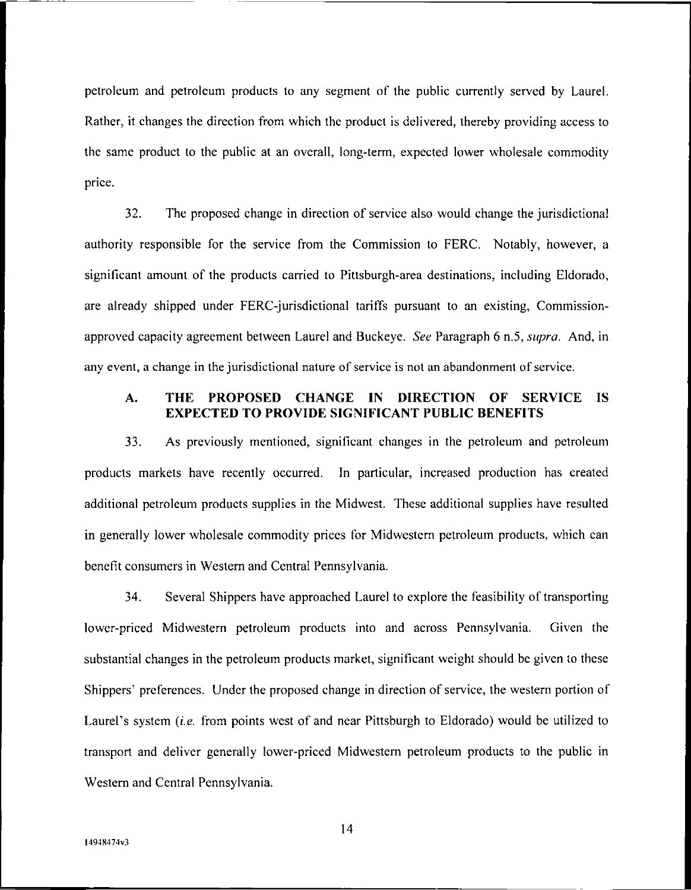petroleum and petroleum products to any segment of the public currently served by Laurel. Rather, it changes the direction from which the product is delivered, thereby providing access to the same product to the public at an overall, long-term, expected lower wholesale commodity price.

32. The proposed change in direction of service also would change the jurisdictional authority responsible for the service from the Commission to FERC. Notably, however, a significant amount of the products carried to Pittsburgh-area destinations, including Eldorado, are already shipped under FERC-jurisdictional tariffs pursuant to an existing, Commissionapproved capacity agreement between Laurel and Buckeye. *See* Paragraph 6 n.5, *supra.* And, in any event, a change in the jurisdictional nature of service is not an abandonment of service.

# **A THE PROPOSED CHANGE IN DIRECTION OF SERVICE IS EXPECTED TO PROVIDE SIGNIFICANT PUBLIC BENEFITS**

33. As previously mentioned, significant changes in the petroleum and petroleum products markets have recently occurred. In particular, increased production has created additional petroleum products supplies in the Midwest. These additional supplies have resulted in generally lower wholesale commodity prices for Midwestern petroleum products, which can benefit consumers in Western and Central Pennsylvania.

34. Several Shippers have approached Laurel to explore the feasibility of transporting lower-priced Midwestern petroleum products into and across Pennsylvania. Given the substantial changes in the petroleum products market, significant weight should be given to these Shippers' preferences. Under the proposed change in direction of service, the western portion of Laurel's system *(i.e.* from points west of and near Pittsburgh to Eldorado) would be utilized to transport and deliver generally lower-priced Midwestern petroleum products to the public in Western and Central Pennsylvania.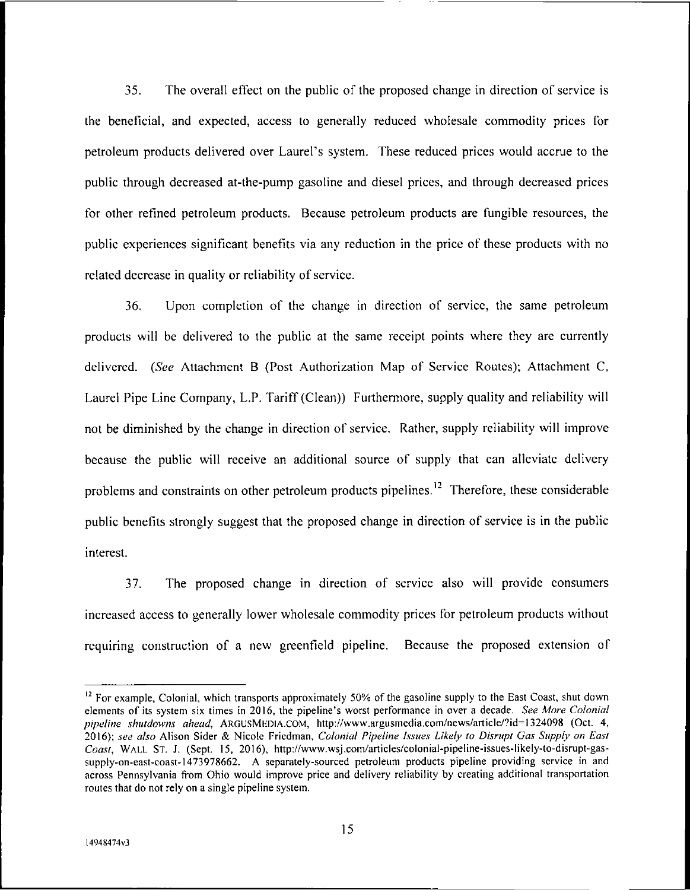35. The overall effect on the public of the proposed change in direction of service is the beneficial, and expected, access to generally reduced wholesale commodity prices for petroleum products delivered over Laurel's system. These reduced prices would accrue to the public through decreased at-the-pump gasoline and diesel prices, and through decreased prices for other refined petroleum products. Because petroleum products are fungible resources, the public experiences significant benefits via any reduction in the price of these products with no related decrease in quality or reliability of service.

36. Upon completion of the change in direction of service, the same petroleum products will be delivered to the public at the same receipt points where they are currently delivered. *(See* Attachment B (Post Authorization Map of Service Routes); Attachment C, Laurel Pipe Line Company, L.P. Tariff (Clean)) Furthermore, supply quality and reliability will not be diminished by the change in direction of service. Rather, supply reliability will improve because the public will receive an additional source of supply that can alleviate delivery problems and constraints on other petroleum products pipelines.<sup>12</sup> Therefore, these considerable public benefits strongly suggest that the proposed change in direction of service is in the public interest.

37. The proposed change in direction of service also will provide consumers increased access to generally lower wholesale commodity prices for petroleum products without requiring construction of a new greenfield pipeline. Because the proposed extension of

 $12$  For example, Colonial, which transports approximately 50% of the gasoline supply to the East Coast, shut down elements of its system six times in 2016, the pipeline's worst performance in over a decade. *See More Colonial pipeline shutdowns ahead,* ARGUSMliDlA.COM, http://www.argusmedia.com/news/article/?id=1324098 (Oct. 4, 2016); *see also* Alison Sider & Nicole Friedman, *Colonial Pipeline Issues Likely to Disrupt Gas Supply on East Coast,* Wall St. J. (Sept. 15, 2016), http://www.wsj.com/articles/colonial-pipeline-issues-likely-to-disrupt-gassupply-on-east-coast-1473978662. A separately-sourced petroleum products pipeline providing service in and across Pennsylvania from Ohio would improve price and delivery reliability by creating additional transportation routes that do not rely on a single pipeline system.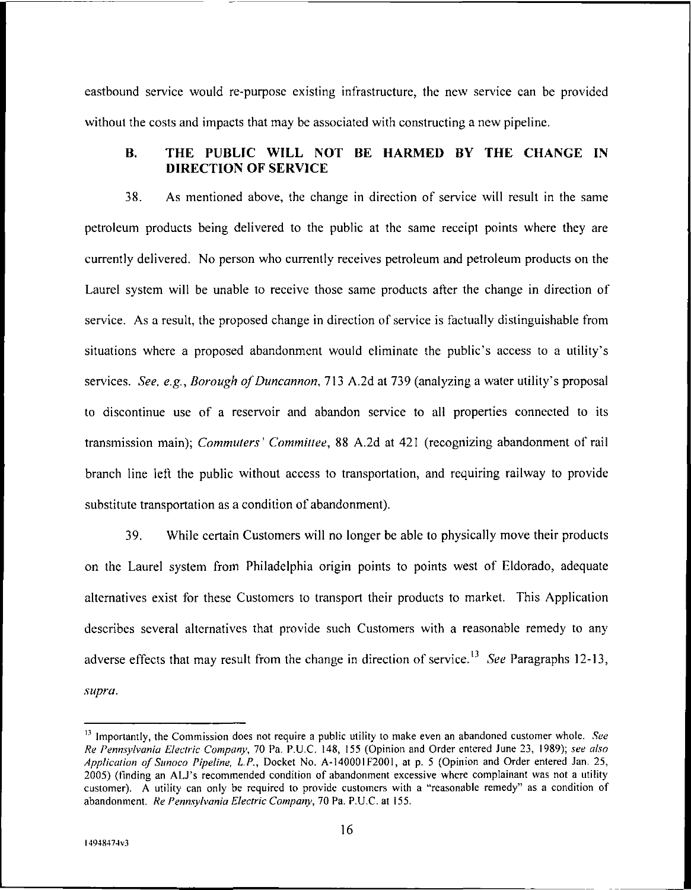eastbound service would re-purpose existing infrastructure, the new service can be provided without the costs and impacts that may be associated with constructing a new pipeline.

# **B. THE PUBLIC WILL NOT BE HARMED BY THE CHANGE IN DIRECTION OF SERVICE**

38. As mentioned above, the change in direction of service will result in the same petroleum products being delivered to the public at the same receipt points where they are currently delivered. No person who currently receives petroleum and petroleum products on the Laurel system will be unable to receive those same products after the change in direction of service. As a result, the proposed change in direction of service is factually distinguishable from situations where a proposed abandonment would eliminate the public's access to a utility's services. *See, e.g.. Borough ofDuncannon,* 713 A.2d at 739 (analyzing a water utility's proposal to discontinue use of a reservoir and abandon service to all properties connected to its transmission main); *Commuters' Committee,* 88 A.2d at 421 (recognizing abandonment of rail branch line left the public without access to transportation, and requiring railway to provide substitute transportation as a condition of abandonment).

39. While certain Customers will no longer be able to physically move their products on the Laurel system from Philadelphia origin points to points west of Eldorado, adequate alternatives exist for these Customers to transport their products to market. This Application describes several alternatives that provide such Customers with a reasonable remedy to any adverse effects that may result from the change in direction of service.13 *See* Paragraphs 12-13, *supra.*

<sup>&</sup>lt;sup>13</sup> Importantly, the Commission does not require a public utility to make even an abandoned customer whole. *See Re Pennsylvania Electric Company,* 70 Pa. P.U.C. 148, 155 (Opinion and Order entered June 23, 1989); *see also Application of Sunoco Pipeline, L.P.,* Docket No. A-14000IF2001, at p. <sup>5</sup> (Opinion and Order entered Jan. 25, 2005) (finding an ALJ's recommended condition of abandonment excessive where complainant was not a utility customer). A utility can only be required to provide customers with a "reasonable remedy" as a condition of abandonment. *Re Pennsylvania Electric Company,* 70 Pa. P.U.C. at 155.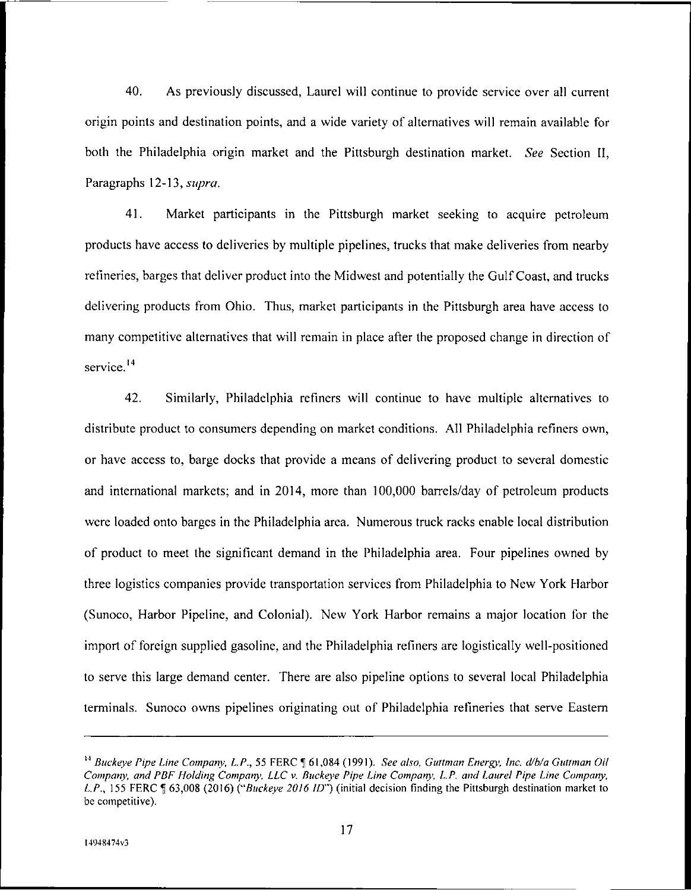40. As previously discussed, Laurel will continue to provide service over all current origin points and destination points, and a wide variety of alternatives will remain available for both the Philadelphia origin market and the Pittsburgh destination market. *See* Section II, Paragraphs 12-13, *supra.*

41. Market participants in the Pittsburgh market seeking to acquire petroleum products have access to deliveries by multiple pipelines, trucks that make deliveries from nearby refineries, barges that deliver product into the Midwest and potentially the GulfCoast, and trucks delivering products from Ohio. Thus, market participants in the Pittsburgh area have access to many competitive alternatives that will remain in place after the proposed change in direction of service.<sup>14</sup>

42. Similarly, Philadelphia refiners will continue to have multiple alternatives to distribute product to consumers depending on market conditions. All Philadelphia refiners own, or have access to, barge docks that provide a means of delivering product to several domestic and international markets; and in 2014, more than 100,000 barrels/day of petroleum products were loaded onto barges in the Philadelphia area. Numerous truck racks enable local distribution of product to meet the significant demand in the Philadelphia area. Four pipelines owned by three logistics companies provide transportation services from Philadelphia to New York Harbor (Sunoco, Harbor Pipeline, and Colonial). New York Harbor remains a major location for the import of foreign supplied gasoline, and the Philadelphia refiners are logistically well-positioned to serve this large demand center. There are also pipeline options to several local Philadelphia terminals. Sunoco owns pipelines originating out of Philadelphia refineries that serve Eastern

*Buckeye Pipe Line Company, L.P., 55* FERC ^ 61,084 (1991). *See also, Guttman Energy, Inc. tl/b/a Gunman Oil Company, and PDF Holding Company, LLC* v. *Buckeye Pipe Line Company, L.P. and Laurel Pipe Line Company, L.P.,* 155 FERC 63,008 (2016) *{"Buckeye 2016 ID")* (initial decision finding the Pittsburgh destination market to be competitive).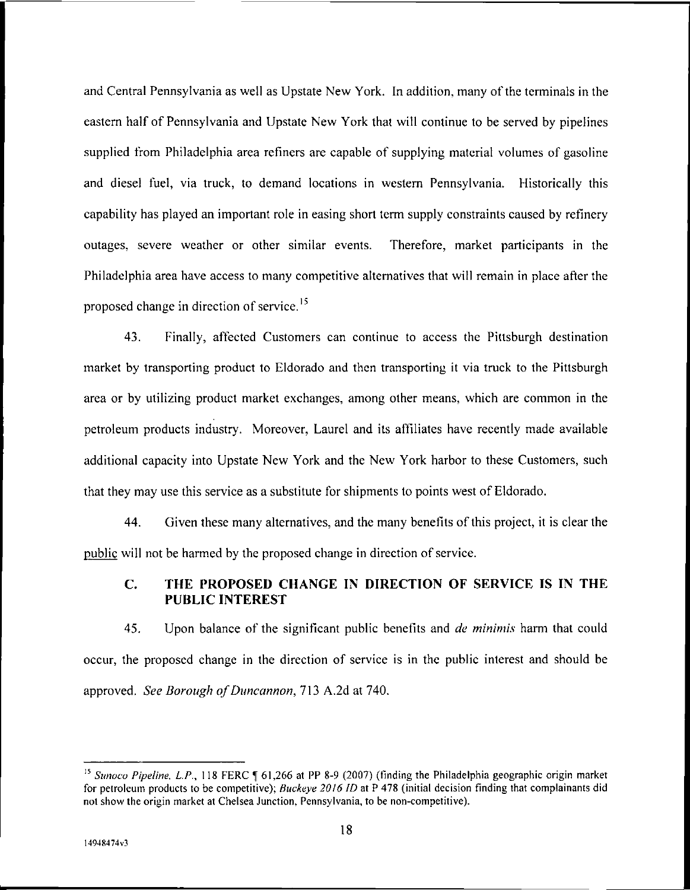and Central Pennsylvania as well as Upstate New York. In addition, many ofthe terminals in the eastern half of Pennsylvania and Upstate New York that will continue to be served by pipelines supplied from Philadelphia area refiners are capable of supplying material volumes of gasoline and diesel fuel, via truck, to demand locations in western Pennsylvania. Historically this capability has played an important role in easing short term supply constraints caused by refinery outages, severe weather or other similar events. Therefore, market participants in the Philadelphia area have access to many competitive alternatives that will remain in place after the proposed change in direction of service.<sup>15</sup>

43. Finally, affected Customers can continue to access the Pittsburgh destination market by transporting product to Eldorado and then transporting it via truck to the Pittsburgh area or by utilizing product market exchanges, among other means, which are common in the petroleum products industry. Moreover, Laurel and its affiliates have recently made available additional capacity into Upstate New York and the New York harbor to these Customers, such that they may use this service as a substitute for shipments to points west of Eldorado.

44. Given these many alternatives, and the many benefits ofthis project, it is clear the public will not be harmed by the proposed change in direction of service.

# **C. THE PROPOSED CHANGE IN DIRECTION OF SERVICE IS IN THE PUBLIC INTEREST**

45. Upon balance of the significant public benefits and *de minimis* harm that could occur, the proposed change in the direction of service is in the public interest and should be approved. *See Borough of Duncannon*, 713 A.2d at 740.

<sup>&</sup>lt;sup>15</sup> *Sunoco Pipeline, L.P.,* 118 FERC ¶ 61,266 at PP 8-9 (2007) (finding the Philadelphia geographic origin market for petroleum products to be competitive); *Buckeye 2016 ID* at P 478 (initial decision finding that complainants did not show the origin market at Chelsea Junction, Pennsylvania, to be non-competitive).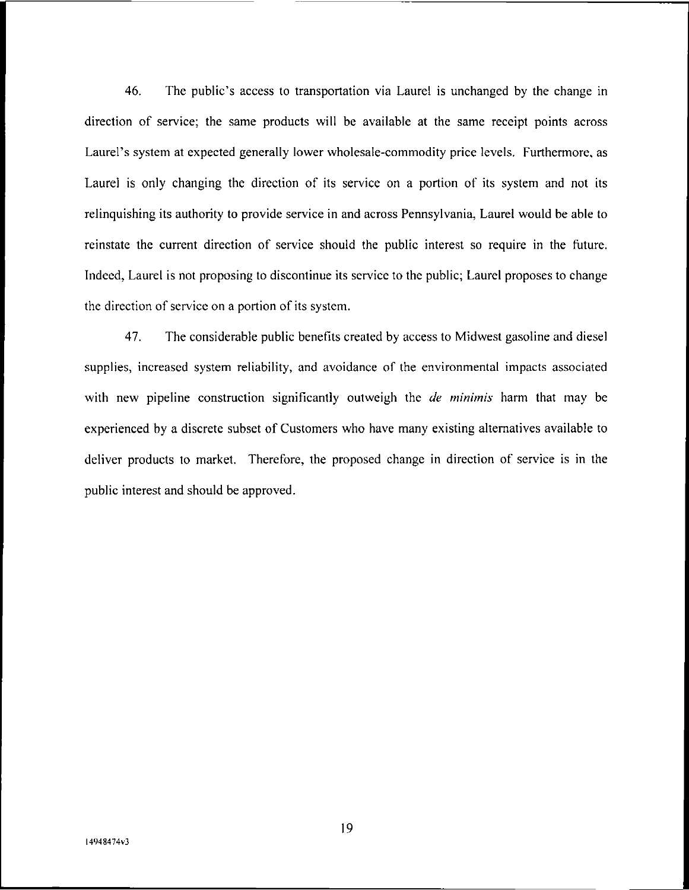46. The public's access to transportation via Laurel is unchanged by the change in direction of service; the same products will be available at the same receipt points across Laurel's system at expected generally lower wholesale-commodity price levels. Furthermore, as Laurel is only changing the direction of its service on a portion of its system and not its relinquishing its authority to provide service in and across Pennsylvania, Laurel would be able to reinstate the current direction of service should the public interest so require in the future. Indeed, Laurel is not proposing to discontinue its service to the public; Laurel proposes to change the direction of service on a portion of its system.

47. The considerable public benefits created by access to Midwest gasoline and diesel supplies, increased system reliability, and avoidance of the environmental impacts associated with new pipeline construction significantly outweigh the *de minimis* harm that may be experienced by a discrete subset of Customers who have many existing alternatives available to deliver products to market. Therefore, the proposed change in direction of service is in the public interest and should be approved.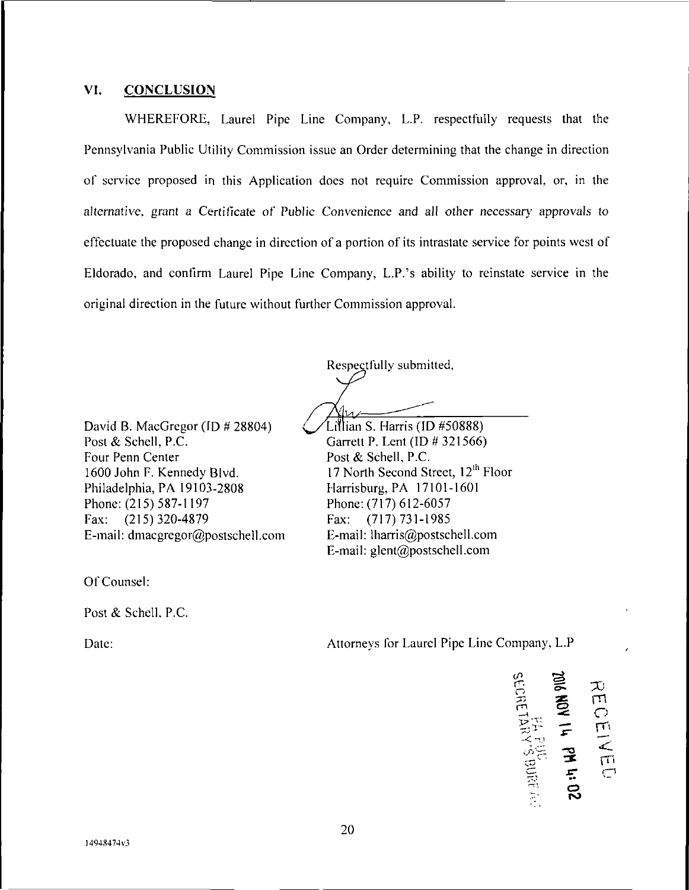#### **VI. CONCLUSION**

WHEREFORE, Laurel Pipe Line Company, L.P. respectfully requests that the Pennsylvania Public Utility Commission issue an Order determining that the change in direction of service proposed in this Application does not require Commission approval, or, in the alternative, grant a Certificate of Public Convenience and all other necessary approvals to effectuate the proposed change in direction of a portion of its intrastate service for points west of Eldorado, and confirm Laurel Pipe Line Company, L.P.'s ability to reinstate service in the original direction in the future without further Commission approval.

Respectfully submitted,

David B. MacGregor (ID # 28804) Post & Schell, P.C. Four Penn Center 1600 John F. Kennedy Blvd. Philadelphia, PA 19103-2808 Phone: (215) 587-1197 Fax: (215) 320-4879 E-mail: dmacgregor@postschell.com

Of Counsel:

Post & Schell. P.C.

Garrett P. Lent (ID # 321566) Post & Schell, P.C. 17 North Second Street, 12<sup>th</sup> Floor Harrisburg, PA 17101-1601 Phone:(717) 612-6057 Fax: (717) 731-1985 E-mail: lharris@postschell.com E-mail: glent@postschell.com

Lillian S. Harris (ID #50888)

Date: Attorneys for Laurel Pipe Line Company, L.P

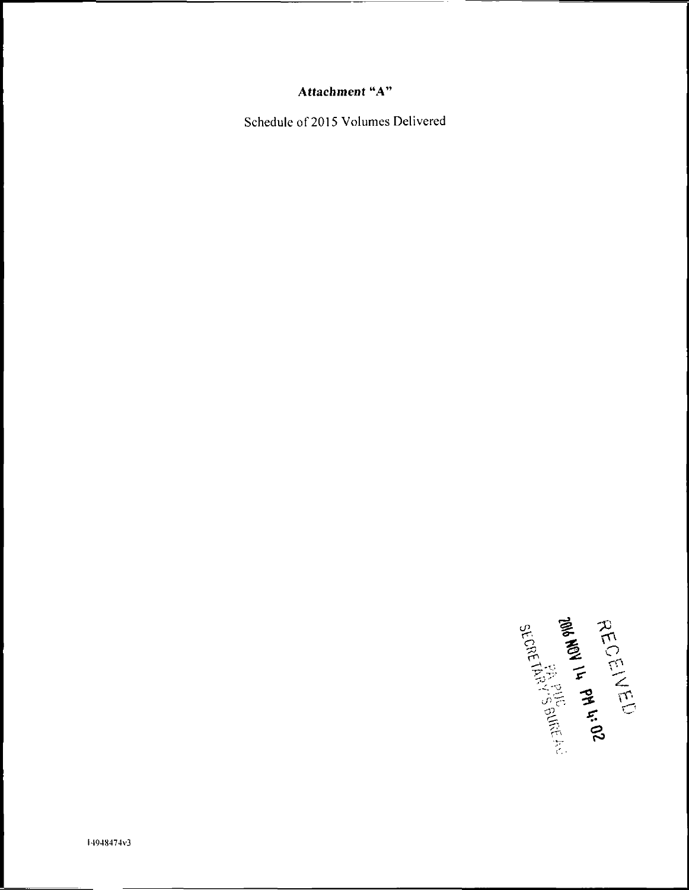# **Attachment "A"**

Schedule of 2015 Volumes Delivered

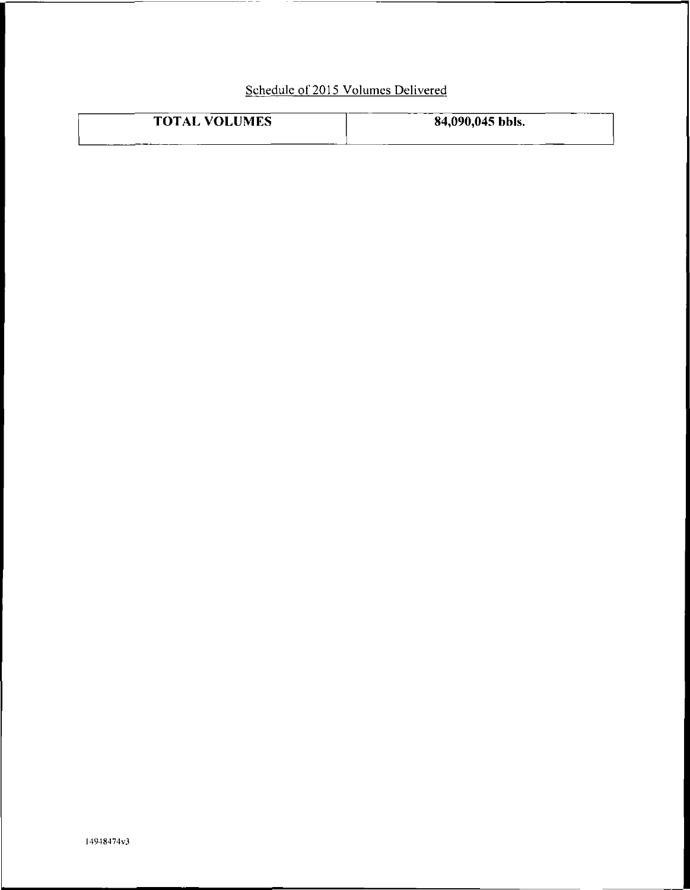# Schedule of 2015 Volumes Delivered

— —

| <b>TOTAL VOLUMES</b> | 84,090,045 bbls. |
|----------------------|------------------|
|                      |                  |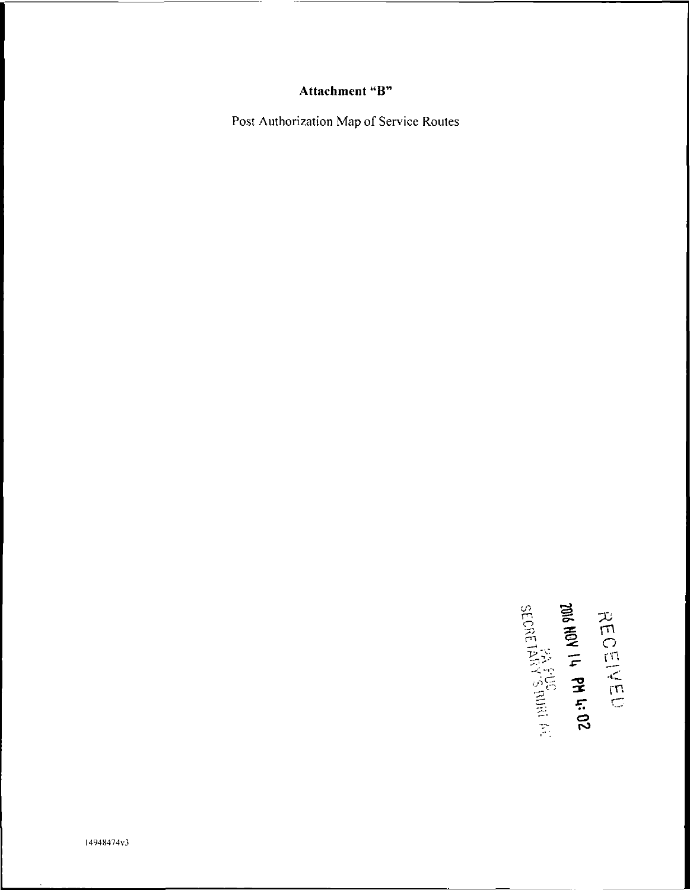# Attachment "B"

Post Authorization Map of Service Routes

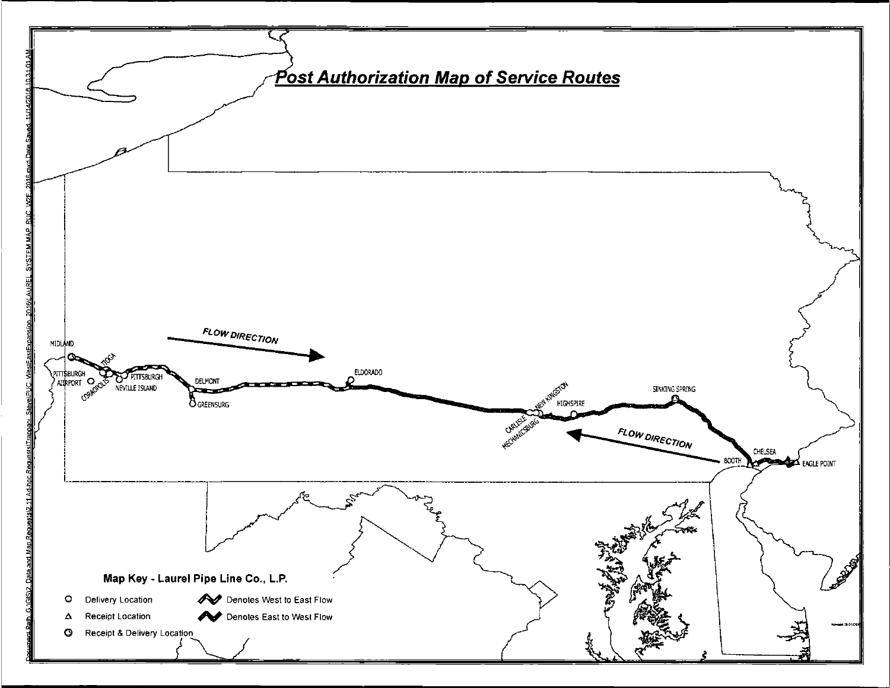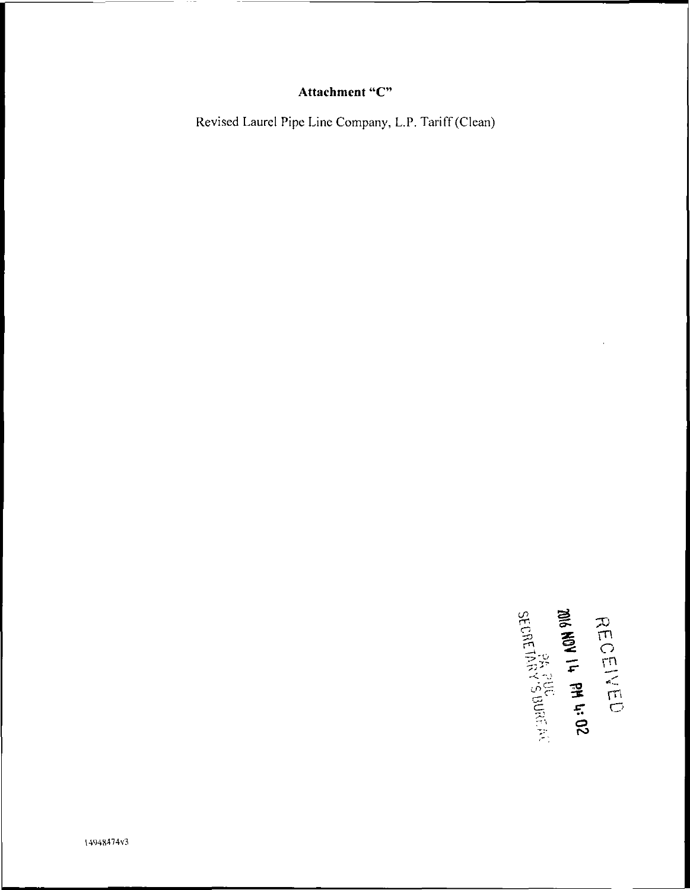# Attachment "C"

Revised Laurel Pipe Line Company, L.P. Tariff(Clean)

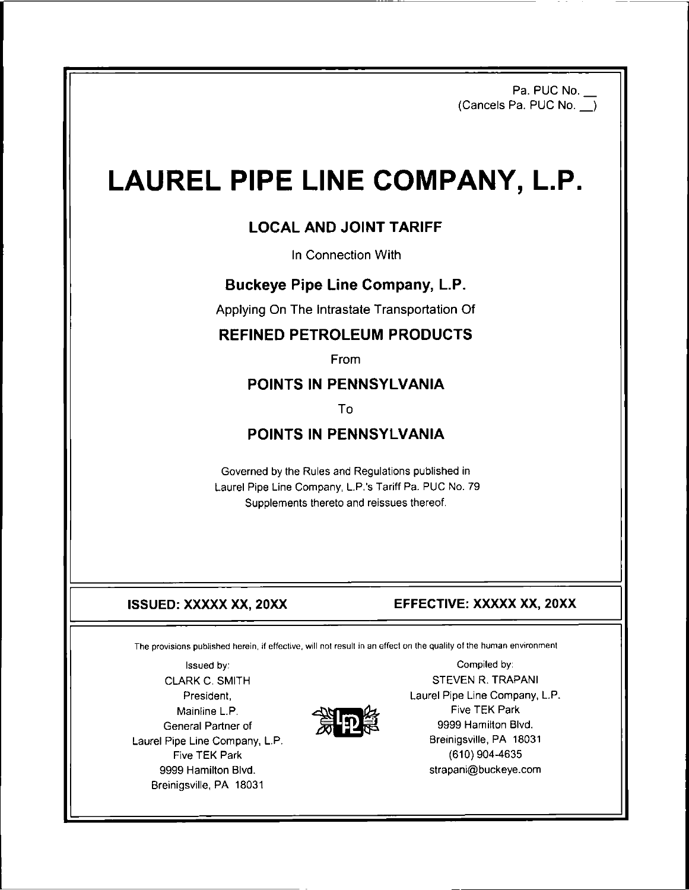Pa. PUC No. (Cancels Pa. PUC No.\_\_)

# LAUREL PIPE LINE COMPANY, L.P.

# LOCAL AND JOINT TARIFF

In Connection With

# Buckeye Pipe Line Company, L.P.

Applying On The Intrastate Transportation Of

# REFINED PETROLEUM PRODUCTS

From

# POINTS IN PENNSYLVANIA

To

# POINTS IN PENNSYLVANIA

Governed by the Rules and Regulations published in Laurel Pipe Line Company, L.P.'s Tariff Pa. PUC No. 79 Supplements thereto and reissues thereof.

#### **ISSUED: XXXXX XX, 20XX EFFECTIVE: XXXXX XX, 20XX**

The provisions published herein, if effective, will not result in an effect on the quality of the human environment

President, Mainline L.P. Laurel Pipe Line Company, L.P. Breinigsville, PA 18031 9999 Hamilton Blvd. Breinigsville, PA 18031



Issued by: Compiled by: CLARK C. SMITH STEVEN R. TRAPANI Laurel Pipe Line Company, L.P. Mainline L.P.<br>
General Partner of **the Company.** L.P. **The Company. L.P.** Breinigsville, PA 1809 Five TEK Park (610) 904-4635 strapani@buckeye.com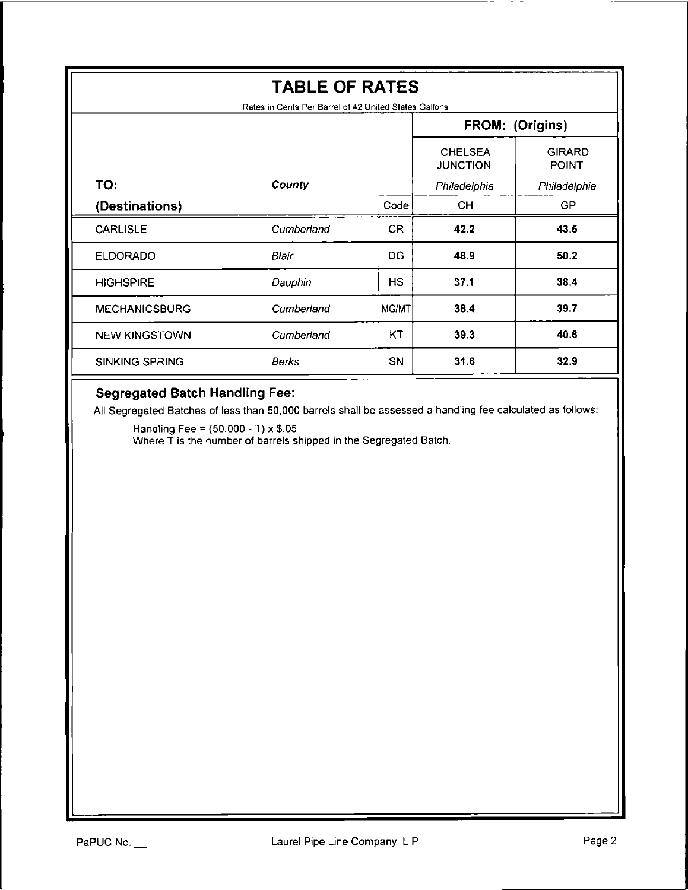| <b>TABLE OF RATES</b>                                                                                                                                                                                                                                                 |            |           |                                   |                               |  |  |  |
|-----------------------------------------------------------------------------------------------------------------------------------------------------------------------------------------------------------------------------------------------------------------------|------------|-----------|-----------------------------------|-------------------------------|--|--|--|
| Rates in Cents Per Barrel of 42 United States Gallons<br>FROM: (Origins)                                                                                                                                                                                              |            |           |                                   |                               |  |  |  |
|                                                                                                                                                                                                                                                                       |            |           | <b>CHELSEA</b><br><b>JUNCTION</b> | <b>GIRARD</b><br><b>POINT</b> |  |  |  |
| TO:                                                                                                                                                                                                                                                                   | County     |           | Philadelphia                      | Philadelphia                  |  |  |  |
| (Destinations)                                                                                                                                                                                                                                                        |            | Code      | CH.                               | <b>GP</b>                     |  |  |  |
| <b>CARLISLE</b>                                                                                                                                                                                                                                                       | Cumberland | <b>CR</b> | 42.2                              | 43.5                          |  |  |  |
| <b>ELDORADO</b>                                                                                                                                                                                                                                                       | Blair      | DG.       | 48.9                              | 50.2                          |  |  |  |
| <b>HIGHSPIRE</b>                                                                                                                                                                                                                                                      | Dauphin    | <b>HS</b> | 37.1                              | 38.4                          |  |  |  |
| <b>MECHANICSBURG</b>                                                                                                                                                                                                                                                  | Cumberland | MG/MT     | 38.4                              | 39.7                          |  |  |  |
| <b>NEW KINGSTOWN</b>                                                                                                                                                                                                                                                  | Cumberland | KT        | 39.3                              | 40.6                          |  |  |  |
| SINKING SPRING                                                                                                                                                                                                                                                        | Berks      | SN        | 31.6                              | 32.9                          |  |  |  |
| <b>Segregated Batch Handling Fee:</b><br>All Segregated Batches of less than 50,000 barrels shall be assessed a handling fee calculated as follows:<br>Handling Fee = $(50,000 - T) \times $.05$<br>Where T is the number of barrels shipped in the Segregated Batch. |            |           |                                   |                               |  |  |  |

 $\overline{\phantom{0}}$ 

 $\overline{\phantom{0}}$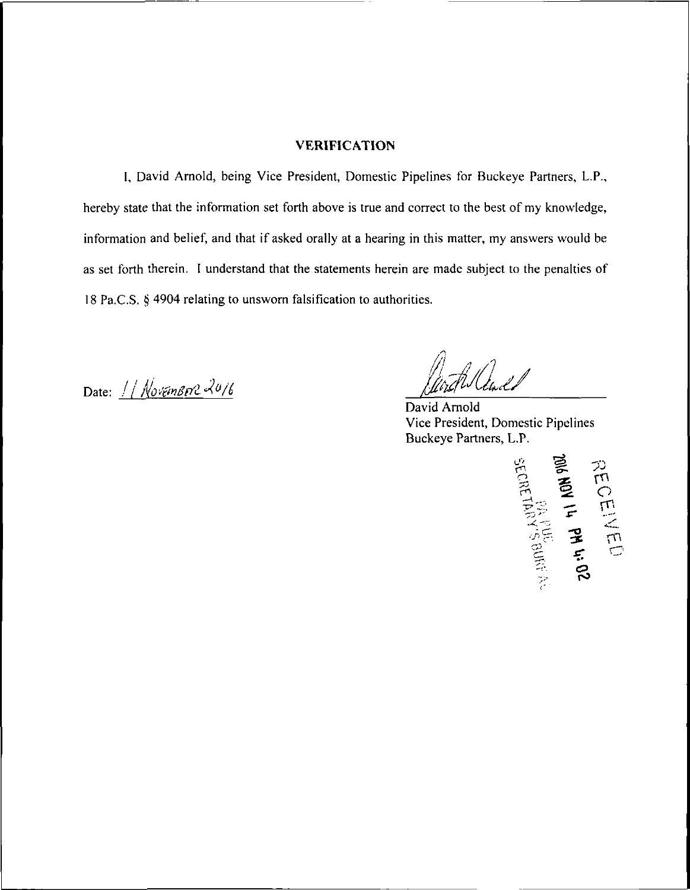#### **VERIFICATION**

I, David Arnold, being Vice President, Domestic Pipelines for Buckeye Partners, L.P., hereby state that the information set forth above is true and correct to the best of my knowledge, information and belief, and that if asked orally at a hearing in this matter, my answers would be as set forth therein. I understand that the statements herein are made subject to the penalties of 18 Pa.C.S. § 4904 relating to unsworn falsification to authorities.

Date:  $//$  Novembre 2016

tilladd

David Arnold Vice President, Domestic Pipelines Buckeye Partners, L.P.